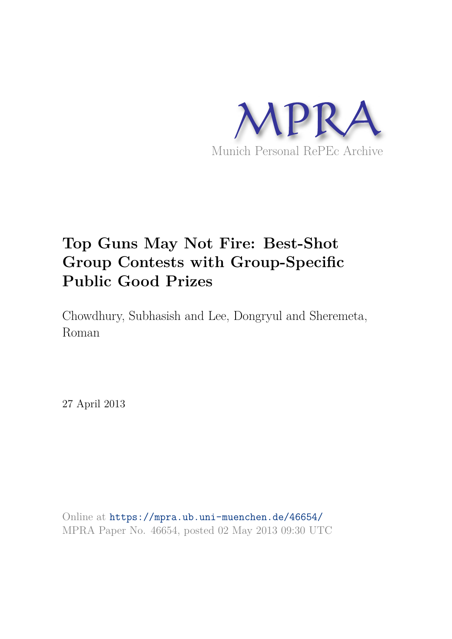

# **Top Guns May Not Fire: Best-Shot Group Contests with Group-Specific Public Good Prizes**

Chowdhury, Subhasish and Lee, Dongryul and Sheremeta, Roman

27 April 2013

Online at https://mpra.ub.uni-muenchen.de/46654/ MPRA Paper No. 46654, posted 02 May 2013 09:30 UTC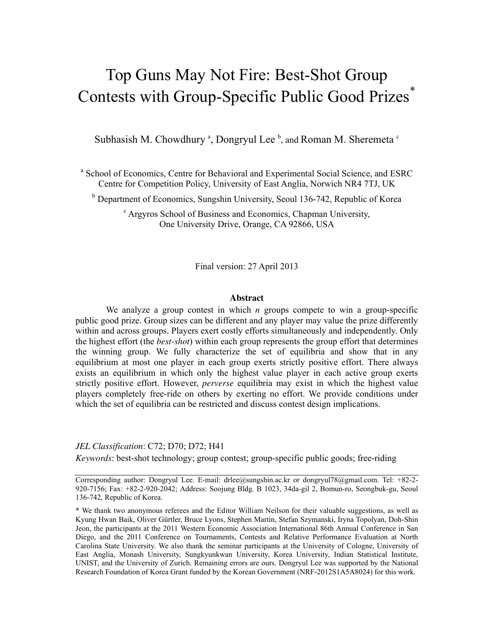## Top Guns May Not Fire: Best-Shot Group Contests with Group-Specific Public Good Prizes<sup>\*</sup>

Subhasish M. Chowdhury<sup>a</sup>, Dongryul Lee<sup>b</sup>, and Roman M. Sheremeta<sup>c</sup>

<sup>a</sup> School of Economics, Centre for Behavioral and Experimental Social Science, and ESRC Centre for Competition Policy, University of East Anglia, Norwich NR4 7TJ, UK

<sup>b</sup> Department of Economics, Sungshin University, Seoul 136-742, Republic of Korea

c Argyros School of Business and Economics, Chapman University, One University Drive, Orange, CA 92866, USA

Final version: 27 April 2013

#### **Abstract**

We analyze a group contest in which *n* groups compete to win a group-specific public good prize. Group sizes can be different and any player may value the prize differently within and across groups. Players exert costly efforts simultaneously and independently. Only the highest effort (the *best-shot*) within each group represents the group effort that determines the winning group. We fully characterize the set of equilibria and show that in any equilibrium at most one player in each group exerts strictly positive effort. There always exists an equilibrium in which only the highest value player in each active group exerts strictly positive effort. However, *perverse* equilibria may exist in which the highest value players completely free-ride on others by exerting no effort. We provide conditions under which the set of equilibria can be restricted and discuss contest design implications.

## *JEL Classification*: C72; D70; D72; H41

*Keywords*: best-shot technology; group contest; group-specific public goods; free-riding

Corresponding author: Dongryul Lee. E-mail: drlee@sungshin.ac.kr or dongryul78@gmail.com. Tel: +82-2- 920-7156; Fax: +82-2-920-2042; Address: Soojung Bldg. B 1023, 34da-gil 2, Bomun-ro, Seongbuk-gu, Seoul 136-742, Republic of Korea.

\* We thank two anonymous referees and the Editor William Neilson for their valuable suggestions, as well as Kyung Hwan Baik, Oliver Gürtler, Bruce Lyons, Stephen Martin, Stefan Szymanski, Iryna Topolyan, Doh-Shin Jeon, the participants at the 2011 Western Economic Association International 86th Annual Conference in San Diego, and the 2011 Conference on Tournaments, Contests and Relative Performance Evaluation at North Carolina State University. We also thank the seminar participants at the University of Cologne, University of East Anglia, Monash University, Sungkyunkwan University, Korea University, Indian Statistical Institute, UNIST, and the University of Zurich. Remaining errors are ours. Dongryul Lee was supported by the National Research Foundation of Korea Grant funded by the Korean Government (NRF-2012S1A5A8024) for this work.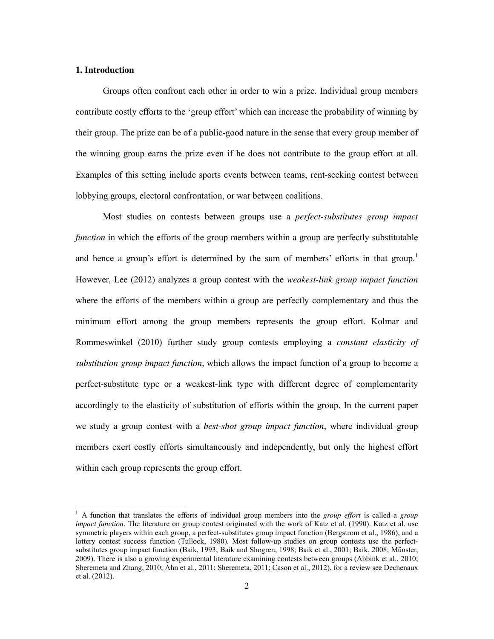## **1. Introduction**

-

Groups often confront each other in order to win a prize. Individual group members contribute costly efforts to the 'group effort' which can increase the probability of winning by their group. The prize can be of a public-good nature in the sense that every group member of the winning group earns the prize even if he does not contribute to the group effort at all. Examples of this setting include sports events between teams, rent-seeking contest between lobbying groups, electoral confrontation, or war between coalitions.

Most studies on contests between groups use a *perfect-substitutes group impact function* in which the efforts of the group members within a group are perfectly substitutable and hence a group's effort is determined by the sum of members' efforts in that group.<sup>1</sup> However, Lee (2012) analyzes a group contest with the *weakest-link group impact function* where the efforts of the members within a group are perfectly complementary and thus the minimum effort among the group members represents the group effort. Kolmar and Rommeswinkel (2010) further study group contests employing a *constant elasticity of substitution group impact function*, which allows the impact function of a group to become a perfect-substitute type or a weakest-link type with different degree of complementarity accordingly to the elasticity of substitution of efforts within the group. In the current paper we study a group contest with a *best-shot group impact function*, where individual group members exert costly efforts simultaneously and independently, but only the highest effort within each group represents the group effort.

<sup>&</sup>lt;sup>1</sup> A function that translates the efforts of individual group members into the *group effort* is called a *group impact function*. The literature on group contest originated with the work of Katz et al. (1990). Katz et al. use symmetric players within each group, a perfect-substitutes group impact function (Bergstrom et al., 1986), and a lottery contest success function (Tullock, 1980). Most follow-up studies on group contests use the perfectsubstitutes group impact function (Baik, 1993; Baik and Shogren, 1998; Baik et al., 2001; Baik, 2008; Münster, 2009). There is also a growing experimental literature examining contests between groups (Abbink et al., 2010; Sheremeta and Zhang, 2010; Ahn et al., 2011; Sheremeta, 2011; Cason et al., 2012), for a review see Dechenaux et al. (2012).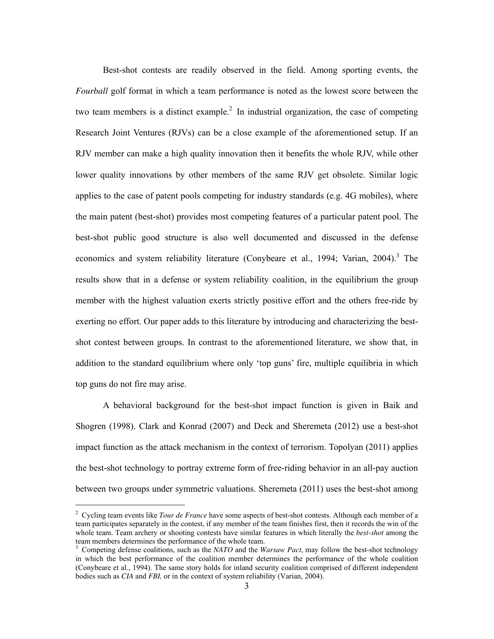Best-shot contests are readily observed in the field. Among sporting events, the *Fourball* golf format in which a team performance is noted as the lowest score between the two team members is a distinct example.<sup>2</sup> In industrial organization, the case of competing Research Joint Ventures (RJVs) can be a close example of the aforementioned setup. If an RJV member can make a high quality innovation then it benefits the whole RJV, while other lower quality innovations by other members of the same RJV get obsolete. Similar logic applies to the case of patent pools competing for industry standards (e.g. 4G mobiles), where the main patent (best-shot) provides most competing features of a particular patent pool. The best-shot public good structure is also well documented and discussed in the defense economics and system reliability literature (Conybeare et al., 1994; Varian, 2004).<sup>3</sup> The results show that in a defense or system reliability coalition, in the equilibrium the group member with the highest valuation exerts strictly positive effort and the others free-ride by exerting no effort. Our paper adds to this literature by introducing and characterizing the bestshot contest between groups. In contrast to the aforementioned literature, we show that, in addition to the standard equilibrium where only 'top guns' fire, multiple equilibria in which top guns do not fire may arise.

A behavioral background for the best-shot impact function is given in Baik and Shogren (1998). Clark and Konrad (2007) and Deck and Sheremeta (2012) use a best-shot impact function as the attack mechanism in the context of terrorism. Topolyan (2011) applies the best-shot technology to portray extreme form of free-riding behavior in an all-pay auction between two groups under symmetric valuations. Sheremeta (2011) uses the best-shot among

-

<sup>&</sup>lt;sup>2</sup> Cycling team events like *Tour de France* have some aspects of best-shot contests. Although each member of a team participates separately in the contest, if any member of the team finishes first, then it records the win of the whole team. Team archery or shooting contests have similar features in which literally the *best-shot* among the team members determines the performance of the whole team.

<sup>3</sup> Competing defense coalitions, such as the *NATO* and the *Warsaw Pact*, may follow the best-shot technology in which the best performance of the coalition member determines the performance of the whole coalition (Conybeare et al., 1994). The same story holds for inland security coalition comprised of different independent bodies such as *CIA* and *FBI,* or in the context of system reliability (Varian, 2004).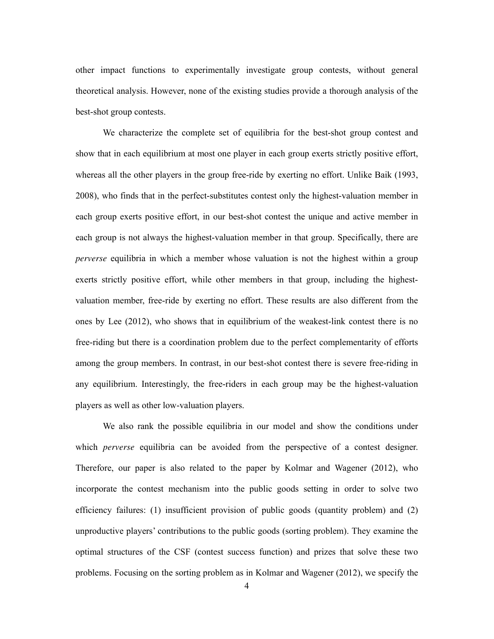other impact functions to experimentally investigate group contests, without general theoretical analysis. However, none of the existing studies provide a thorough analysis of the best-shot group contests.

We characterize the complete set of equilibria for the best-shot group contest and show that in each equilibrium at most one player in each group exerts strictly positive effort, whereas all the other players in the group free-ride by exerting no effort. Unlike Baik (1993, 2008), who finds that in the perfect-substitutes contest only the highest-valuation member in each group exerts positive effort, in our best-shot contest the unique and active member in each group is not always the highest-valuation member in that group. Specifically, there are *perverse* equilibria in which a member whose valuation is not the highest within a group exerts strictly positive effort, while other members in that group, including the highestvaluation member, free-ride by exerting no effort. These results are also different from the ones by Lee (2012), who shows that in equilibrium of the weakest-link contest there is no free-riding but there is a coordination problem due to the perfect complementarity of efforts among the group members. In contrast, in our best-shot contest there is severe free-riding in any equilibrium. Interestingly, the free-riders in each group may be the highest-valuation players as well as other low-valuation players.

We also rank the possible equilibria in our model and show the conditions under which *perverse* equilibria can be avoided from the perspective of a contest designer. Therefore, our paper is also related to the paper by Kolmar and Wagener (2012), who incorporate the contest mechanism into the public goods setting in order to solve two efficiency failures: (1) insufficient provision of public goods (quantity problem) and (2) unproductive players' contributions to the public goods (sorting problem). They examine the optimal structures of the CSF (contest success function) and prizes that solve these two problems. Focusing on the sorting problem as in Kolmar and Wagener (2012), we specify the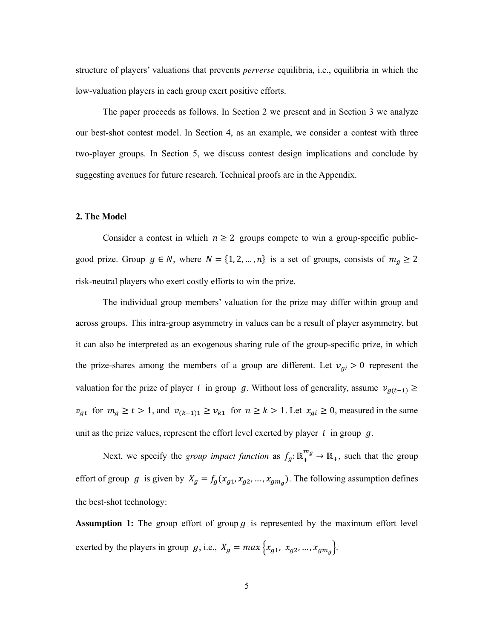structure of players' valuations that prevents *perverse* equilibria, i.e., equilibria in which the low-valuation players in each group exert positive efforts.

The paper proceeds as follows. In Section 2 we present and in Section 3 we analyze our best-shot contest model. In Section 4, as an example, we consider a contest with three two-player groups. In Section 5, we discuss contest design implications and conclude by suggesting avenues for future research. Technical proofs are in the Appendix.

#### **2. The Model**

Consider a contest in which  $n \geq 2$  groups compete to win a group-specific publicgood prize. Group  $g \in N$ , where  $N = \{1, 2, ..., n\}$  is a set of groups, consists of  $m_g \ge 2$ risk-neutral players who exert costly efforts to win the prize.

The individual group members' valuation for the prize may differ within group and across groups. This intra-group asymmetry in values can be a result of player asymmetry, but it can also be interpreted as an exogenous sharing rule of the group-specific prize, in which the prize-shares among the members of a group are different. Let  $v_{gi} > 0$  represent the valuation for the prize of player *i* in group g. Without loss of generality, assume  $v_{g(t-1)} \geq$  $v_{gt}$  for  $m_g \ge t > 1$ , and  $v_{(k-1)1} \ge v_{k1}$  for  $n \ge k > 1$ . Let  $x_{gi} \ge 0$ , measured in the same unit as the prize values, represent the effort level exerted by player  $i$  in group  $g$ .

Next, we specify the *group impact function* as  $f_g: \mathbb{R}_+^{m_g} \to \mathbb{R}_+$ , such that the group effort of group g is given by  $X_g = f_g(x_{g1}, x_{g2}, ..., x_{gmg})$ . The following assumption defines the best-shot technology:

**Assumption 1:** The group effort of group  $g$  is represented by the maximum effort level exerted by the players in group  $g$ , i.e.,  $X_g = max\{x_{g1}, x_{g2}, ..., x_{gm_g}\}.$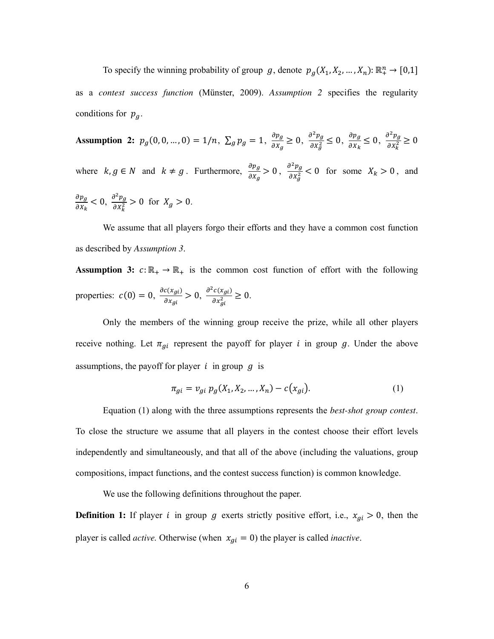To specify the winning probability of group g, denote  $p_g(X_1, X_2, ..., X_n): \mathbb{R}^n_+ \to [0,1]$ as a *contest success function* (Münster, 2009). *Assumption 2* specifies the regularity conditions for  $p_{q}$ .

**Assumption 2:**  $p_g(0, 0, ..., 0) = 1/n$ ,  $\sum_g p_g = 1$ ,  $\frac{\partial p_g}{\partial x_g}$  $\frac{\partial p_g}{\partial X_g} \geq 0, \frac{\partial^2 p_g}{\partial X_g^2}$  $\frac{\partial^2 p_g}{\partial x_g^2} \leq 0$ ,  $\frac{\partial p_g}{\partial x_k}$  $\frac{\partial p_g}{\partial x_k} \leq 0, \frac{\partial^2 p_g}{\partial x_k^2}$  $\frac{\partial}{\partial x_k^2} \geq 0$ where  $k, g \in N$  and  $k \neq g$ . Furthermore,  $\frac{\partial p_g}{\partial x_g} > 0$ ,  $\frac{\partial^2 p_g}{\partial x_g^2}$  $\frac{\partial^2 P g}{\partial x_g^2}$  < 0 for some  $X_k > 0$ , and  $\partial p_g$  $\frac{\partial p_g}{\partial x_k} < 0, \frac{\partial^2 p_g}{\partial x_k^2}$  $\frac{\partial P_g}{\partial X_k^2} > 0$  for  $X_g > 0$ .

We assume that all players forgo their efforts and they have a common cost function as described by *Assumption 3*.

**Assumption 3:**  $c: \mathbb{R}_+ \to \mathbb{R}_+$  is the common cost function of effort with the following properties:  $c(0) = 0$ ,  $\frac{\partial c(x_{gi})}{\partial x_{gi}}$  $\frac{c(x_{gi})}{\partial x_{gi}} > 0$ ,  $\frac{\partial^2 c(x_{gi})}{\partial x_{gi}^2}$  $\frac{\partial (x_{gi})}{\partial x_{gi}^2} \geq 0.$ 

Only the members of the winning group receive the prize, while all other players receive nothing. Let  $\pi_{gi}$  represent the payoff for player *i* in group g. Under the above assumptions, the payoff for player  $i$  in group  $q$  is

$$
\pi_{gi} = v_{gi} \ p_g(X_1, X_2, \dots, X_n) - c(x_{gi}). \tag{1}
$$

Equation (1) along with the three assumptions represents the *best-shot group contest*. To close the structure we assume that all players in the contest choose their effort levels independently and simultaneously, and that all of the above (including the valuations, group compositions, impact functions, and the contest success function) is common knowledge.

We use the following definitions throughout the paper.

**Definition 1:** If player *i* in group *g* exerts strictly positive effort, i.e.,  $x_{gi} > 0$ , then the player is called *active*. Otherwise (when  $x_{gi} = 0$ ) the player is called *inactive*.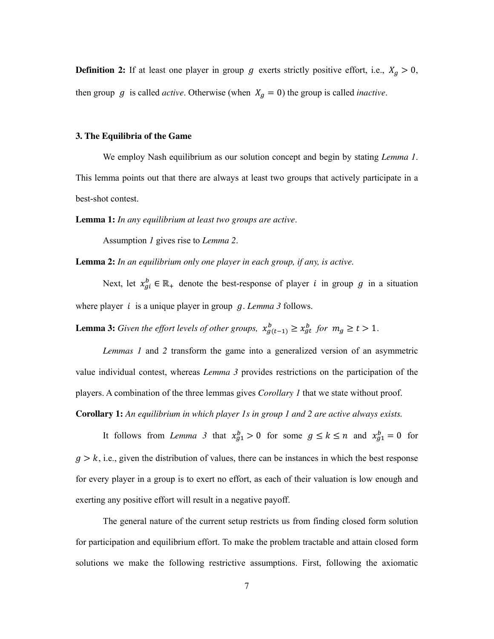**Definition 2:** If at least one player in group  $g$  exerts strictly positive effort, i.e.,  $X_g > 0$ , then group  $g$  is called *active*. Otherwise (when  $X_g = 0$ ) the group is called *inactive*.

#### **3. The Equilibria of the Game**

We employ Nash equilibrium as our solution concept and begin by stating *Lemma 1*. This lemma points out that there are always at least two groups that actively participate in a best-shot contest.

**Lemma 1:** *In any equilibrium at least two groups are active*.

Assumption *1* gives rise to *Lemma 2*.

**Lemma 2:** *In an equilibrium only one player in each group, if any, is active.* 

Next, let  $x_{gi}^b \in \mathbb{R}_+$  denote the best-response of player *i* in group *g* in a situation where player  $i$  is a unique player in group  $g$ . *Lemma* 3 follows.

**Lemma 3:** *Given the effort levels of other groups,*  $x_{g(t-1)}^b \ge x_{gt}^b$  *for*  $m_g \ge t > 1$ .

*Lemmas 1* and *2* transform the game into a generalized version of an asymmetric value individual contest, whereas *Lemma 3* provides restrictions on the participation of the players. A combination of the three lemmas gives *Corollary 1* that we state without proof.

**Corollary 1:** *An equilibrium in which player 1s in group 1 and 2 are active always exists.* 

It follows from *Lemma 3* that  $x_{g1}^b > 0$  for some  $g \le k \le n$  and  $x_{g1}^b = 0$  for  $g > k$ , i.e., given the distribution of values, there can be instances in which the best response for every player in a group is to exert no effort, as each of their valuation is low enough and exerting any positive effort will result in a negative payoff.

The general nature of the current setup restricts us from finding closed form solution for participation and equilibrium effort. To make the problem tractable and attain closed form solutions we make the following restrictive assumptions. First, following the axiomatic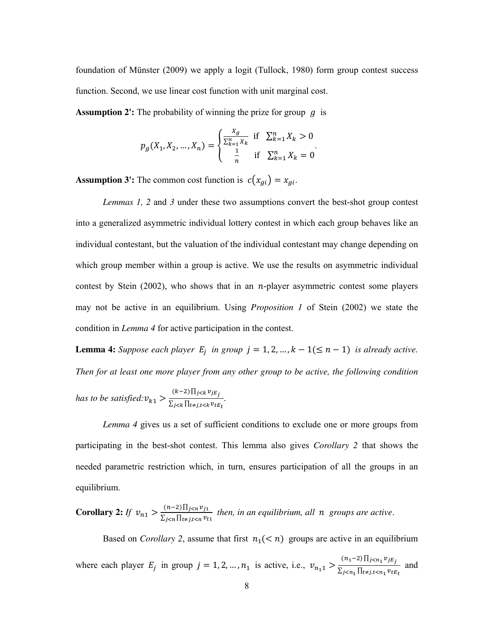foundation of Münster (2009) we apply a logit (Tullock, 1980) form group contest success function. Second, we use linear cost function with unit marginal cost.

**Assumption 2':** The probability of winning the prize for group  $q$  is

$$
p_g(X_1, X_2, ..., X_n) = \begin{cases} \frac{X_g}{\sum_{k=1}^n X_k} & \text{if } \sum_{k=1}^n X_k > 0\\ \frac{1}{n} & \text{if } \sum_{k=1}^n X_k = 0 \end{cases}.
$$

**Assumption 3':** The common cost function is  $c(x_{gi}) = x_{gi}$ .

*Lemmas 1, 2* and *3* under these two assumptions convert the best-shot group contest into a generalized asymmetric individual lottery contest in which each group behaves like an individual contestant, but the valuation of the individual contestant may change depending on which group member within a group is active. We use the results on asymmetric individual contest by Stein  $(2002)$ , who shows that in an *n*-player asymmetric contest some players may not be active in an equilibrium. Using *Proposition 1* of Stein (2002) we state the condition in *Lemma 4* for active participation in the contest.

**Lemma 4:** *Suppose each player*  $E_j$  *in group*  $j = 1, 2, ..., k - 1(\leq n - 1)$  *is already active. Then for at least one more player from any other group to be active, the following condition* 

*has to be satisfied:* $v_{k1} > \frac{(k-2) \prod_{j \leq k} v_{jE_j}}{\sum_{i \leq k} \prod_{t \neq i, t \leq k} v_{tk}}$  $\frac{\sum_{j < k} \sum_{j < k} v_{tj}}{\sum_{j < k} \prod_{t \neq j, t < k} v_{tj}}.$ 

*Lemma 4* gives us a set of sufficient conditions to exclude one or more groups from participating in the best-shot contest. This lemma also gives *Corollary 2* that shows the needed parametric restriction which, in turn, ensures participation of all the groups in an equilibrium.

**Corollary 2:** *If*  $v_{n1} > \frac{(n-2)\prod_{j \leq n} v_{j1}}{\sum_{i \leq n} \prod_{i \neq j \leq n} v_{i1}}$  $\frac{(n-2) \prod_{j \leq n} \nu_{j1}}{\sum_{j \leq n} \prod_{t \neq j, t \leq n} \nu_{t1}}$  then, in an equilibrium, all n groups are active.

Based on *Corollary 2*, assume that first  $n_1$ (< *n*) groups are active in an equilibrium

where each player  $E_j$  in group  $j = 1, 2, ..., n_1$  is active, i.e.,  $v_{n_1 1} > \frac{(n_1 - 2) \prod_{j < n_1} v_{j E_j}}{\sum_{i \le n_1} \prod_{\xi \neq j, \xi \le n_1} v_{\xi \xi}}$  $\sum_{j\leq n_1}$  I I  $t \neq j, t \leq n_1$   $v_{tE_t}$ and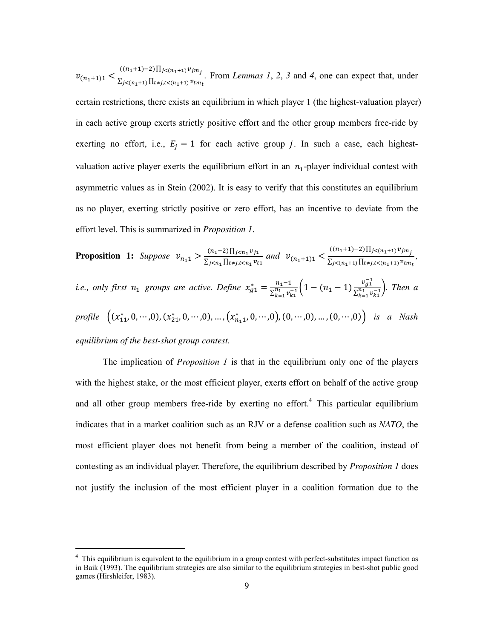$v_{(n_1+1)1}$  <  $((n_1+1)-2)\prod_{j<(n_1+1)} v_{jm_j}$  $\sum_{j \leq (n_1+1)} \prod_{t \neq j, t \leq (n_1+1)} v_{tm}$ *.* From *Lemmas 1*, *2*, *3* and *4*, one can expect that, under certain restrictions, there exists an equilibrium in which player 1 (the highest-valuation player) in each active group exerts strictly positive effort and the other group members free-ride by exerting no effort, i.e.,  $E_i = 1$  for each active group j. In such a case, each highestvaluation active player exerts the equilibrium effort in an  $n_1$ -player individual contest with asymmetric values as in Stein (2002). It is easy to verify that this constitutes an equilibrium as no player, exerting strictly positive or zero effort, has an incentive to deviate from the effort level. This is summarized in *Proposition 1*.

**Proposition 1:** Suppose 
$$
v_{n_1 1} > \frac{(n_1 - 2) \prod_{j \le n_1} v_{j_1}}{\sum_{j \le n_1} \prod_{t \ne j, t \le n_1} v_{t_1}}
$$
 and  $v_{(n_1 + 1)1} < \frac{((n_1 + 1) - 2) \prod_{j \le (n_1 + 1)} v_{j m_j}}{\sum_{j \le (n_1 + 1)} \prod_{t \ne j, t \le (n_1 + 1)} v_{t m_t}}$ ,  
i.e., only first  $n_1$  groups are active. Define  $x_{g1}^* = \frac{n_1 - 1}{\sum_{k=1}^{n_1} v_{k1}^{-1}} \left(1 - (n_1 - 1) \frac{v_{g1}^{-1}}{\sum_{k=1}^{n_1} v_{k1}^{-1}}\right)$ . Then a  
profile  $((x_{11}^*, 0, \dots, 0), (x_{21}^*, 0, \dots, 0), \dots, (x_{n_1 1}^*, 0, \dots, 0), (0, \dots, 0), \dots, (0, \dots, 0))$  is a Nash  
equilibrium of the best-shot group contest.

The implication of *Proposition 1* is that in the equilibrium only one of the players with the highest stake, or the most efficient player, exerts effort on behalf of the active group and all other group members free-ride by exerting no effort.<sup>4</sup> This particular equilibrium indicates that in a market coalition such as an RJV or a defense coalition such as *NATO*, the most efficient player does not benefit from being a member of the coalition, instead of contesting as an individual player. Therefore, the equilibrium described by *Proposition 1* does not justify the inclusion of the most efficient player in a coalition formation due to the

-

<sup>&</sup>lt;sup>4</sup> This equilibrium is equivalent to the equilibrium in a group contest with perfect-substitutes impact function as in Baik (1993). The equilibrium strategies are also similar to the equilibrium strategies in best-shot public good games (Hirshleifer, 1983).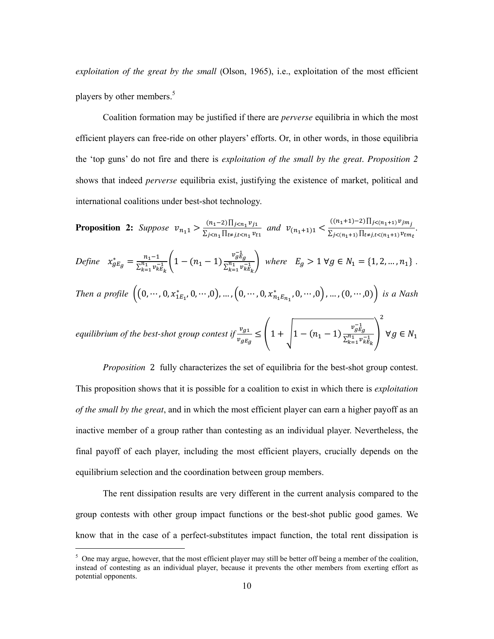*exploitation of the great by the small* (Olson, 1965), i.e., exploitation of the most efficient players by other members.<sup>5</sup>

Coalition formation may be justified if there are *perverse* equilibria in which the most efficient players can free-ride on other players' efforts. Or, in other words, in those equilibria the 'top guns' do not fire and there is *exploitation of the small by the great*. *Proposition 2* shows that indeed *perverse* equilibria exist, justifying the existence of market, political and international coalitions under best-shot technology.

**Proposition 2:** *Suppose*  $v_{n_1 1} > \frac{(n_1-2)\prod_{j$  $\frac{(n_1-2)\prod_{j\leq n_1}v_{j1}}{\sum_{j\leq n_1}\prod_{t\neq j,t\leq n_1}v_{t1}}$  and  $v_{(n_1+1)1} \leq \frac{((n_1+1)-2)\prod_{j\leq (n_1+1)}v_{jm_j}}{\sum_{j\leq (n_1+1)}\prod_{t\neq j,t\leq (n_1+1)}v_{tm}}$  $\sum_{j \leq (n_1+1)} \prod_{t \neq j, t \leq (n_1+1)} v_{tm}$ 

*.* 

Define 
$$
x_{gE_g}^* = \frac{n_1 - 1}{\sum_{k=1}^{n_1} v_{kE_k}^{-1}} \left( 1 - (n_1 - 1) \frac{v_{gE_g}^{-1}}{\sum_{k=1}^{n_1} v_{kE_k}^{-1}} \right)
$$
 where  $E_g > 1 \forall g \in N_1 = \{1, 2, ..., n_1\}$ .  
\nThen a profile  $\left( (0, ..., 0, x_{1E_1}^*, 0, ..., 0), ..., (0, ..., 0, x_{n_1E_{n_1}}^*, 0, ..., 0), ..., (0, ..., 0) \right)$  is a Nash

equilibrium of the best-shot group contest if 
$$
\frac{v_{g1}}{v_{gE_g}} \leq \left(1 + \sqrt{1 - (n_1 - 1) \frac{v_{gE_g}^{-1}}{\sum_{k=1}^{n_1} v_{kE_k}^{-1}}}\right) \ \forall g \in N_1
$$

*Proposition* 2 fully characterizes the set of equilibria for the best-shot group contest. This proposition shows that it is possible for a coalition to exist in which there is *exploitation of the small by the great*, and in which the most efficient player can earn a higher payoff as an inactive member of a group rather than contesting as an individual player. Nevertheless, the final payoff of each player, including the most efficient players, crucially depends on the equilibrium selection and the coordination between group members.

The rent dissipation results are very different in the current analysis compared to the group contests with other group impact functions or the best-shot public good games. We know that in the case of a perfect-substitutes impact function, the total rent dissipation is

-

 $5$  One may argue, however, that the most efficient player may still be better off being a member of the coalition, instead of contesting as an individual player, because it prevents the other members from exerting effort as potential opponents.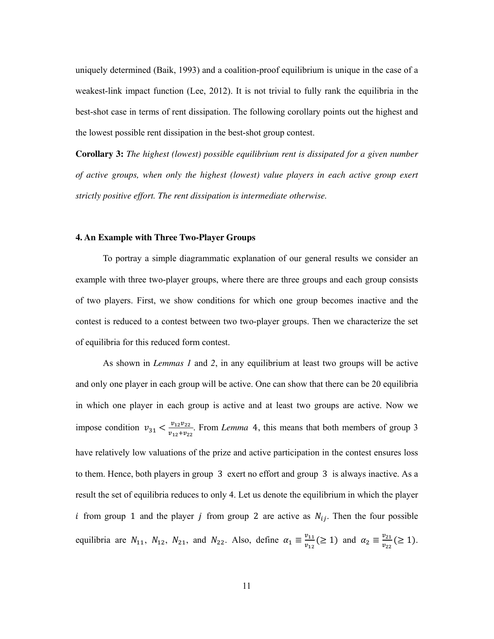uniquely determined (Baik, 1993) and a coalition-proof equilibrium is unique in the case of a weakest-link impact function (Lee, 2012). It is not trivial to fully rank the equilibria in the best-shot case in terms of rent dissipation. The following corollary points out the highest and the lowest possible rent dissipation in the best-shot group contest.

**Corollary 3:** *The highest (lowest) possible equilibrium rent is dissipated for a given number of active groups, when only the highest (lowest) value players in each active group exert strictly positive effort. The rent dissipation is intermediate otherwise.* 

## **4. An Example with Three Two-Player Groups**

To portray a simple diagrammatic explanation of our general results we consider an example with three two-player groups, where there are three groups and each group consists of two players. First, we show conditions for which one group becomes inactive and the contest is reduced to a contest between two two-player groups. Then we characterize the set of equilibria for this reduced form contest.

As shown in *Lemmas 1* and *2*, in any equilibrium at least two groups will be active and only one player in each group will be active. One can show that there can be 20 equilibria in which one player in each group is active and at least two groups are active. Now we impose condition  $v_{31} < \frac{v_{12}v_{22}}{v_{12}+v_{22}}$  $\frac{v_{12}v_{22}}{v_{12}+v_{22}}$ . From *Lemma* 4, this means that both members of group 3 have relatively low valuations of the prize and active participation in the contest ensures loss to them. Hence, both players in group 3 exert no effort and group 3 is always inactive. As a result the set of equilibria reduces to only 4. Let us denote the equilibrium in which the player *i* from group 1 and the player *j* from group 2 are active as  $N_{ij}$ . Then the four possible equilibria are  $N_{11}$ ,  $N_{12}$ ,  $N_{21}$ , and  $N_{22}$ . Also, define  $\alpha_1 \equiv \frac{v_{11}}{v_{12}}$  $\frac{v_{11}}{v_{12}} (\ge 1)$  and  $\alpha_2 \equiv \frac{v_{21}}{v_{22}}$  $\frac{\nu_{21}}{\nu_{22}} (\geq 1).$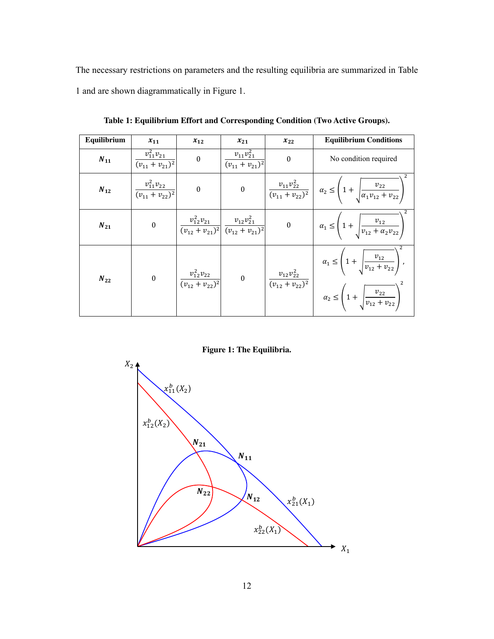The necessary restrictions on parameters and the resulting equilibria are summarized in Table 1 and are shown diagrammatically in Figure 1.

| Equilibrium           | $x_{11}$                                            | $x_{12}$                                                                                  | $x_{21}$                                  | $x_{22}$                                          | <b>Equilibrium Conditions</b>                                                                                                                     |
|-----------------------|-----------------------------------------------------|-------------------------------------------------------------------------------------------|-------------------------------------------|---------------------------------------------------|---------------------------------------------------------------------------------------------------------------------------------------------------|
| $\boldsymbol{N_{11}}$ | $v_{11}^2 v_{21}$<br>$\overline{(v_{11}+v_{21})^2}$ | $\boldsymbol{0}$                                                                          | $v_{11}v_{21}^2$<br>$(v_{11} + v_{21})^2$ | $\mathbf{0}$                                      | No condition required                                                                                                                             |
| $N_{12}$              | $\frac{v_{11}^2 v_{22}}{(v_{11} + v_{22})^2}$       | $\boldsymbol{0}$                                                                          | $\boldsymbol{0}$                          |                                                   | $\left  \frac{v_{11}v_{22}^2}{(v_{11}+v_{22})^2} \right  \alpha_2 \le \left(1+\sqrt{\frac{v_{22}}{\alpha_1 v_{12}+v_{22}}}\right)$                |
| $N_{21}$              | $\boldsymbol{0}$                                    | $\frac{v_{12}^2 v_{21}}{(v_{12} + v_{21})^2} \frac{v_{12} v_{21}^2}{(v_{12} + v_{21})^2}$ |                                           | $\boldsymbol{0}$                                  | $\alpha_1 \le \left(1 + \sqrt{\frac{v_{12}}{v_{12} + \alpha_2 v_{22}}}\right)$                                                                    |
| $N_{22}$              | $\boldsymbol{0}$                                    | $\frac{v_{12}^2 v_{22}}{(v_{12} + v_{22})^2}$                                             | $\boldsymbol{0}$                          | $v_{12}v_{22}^2$<br>$\frac{1}{(v_{12}+v_{22})^2}$ | $\alpha_1 \leq \left(1 + \sqrt{\frac{v_{12}}{v_{12} + v_{22}}}\right)$ ,<br>$\alpha_2 \le \left(1 + \sqrt{\frac{v_{22}}{v_{12} + v_{22}}}\right)$ |

**Table 1: Equilibrium Effort and Corresponding Condition (Two Active Groups).** 

**Figure 1: The Equilibria.** 

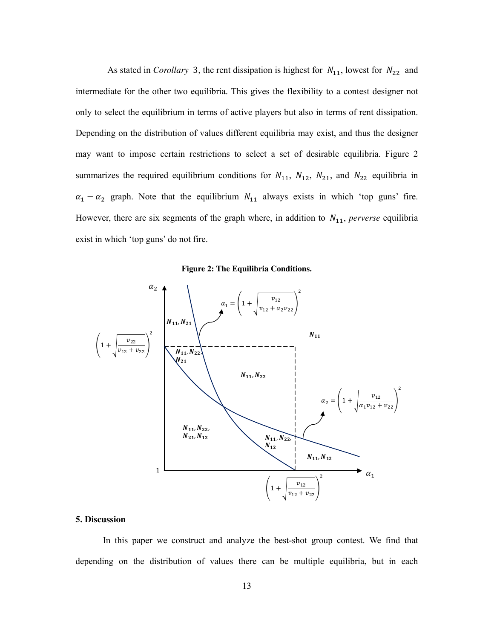As stated in *Corollary* 3, the rent dissipation is highest for  $N_{11}$ , lowest for  $N_{22}$  and intermediate for the other two equilibria. This gives the flexibility to a contest designer not only to select the equilibrium in terms of active players but also in terms of rent dissipation. Depending on the distribution of values different equilibria may exist, and thus the designer may want to impose certain restrictions to select a set of desirable equilibria. Figure 2 summarizes the required equilibrium conditions for  $N_{11}$ ,  $N_{12}$ ,  $N_{21}$ , and  $N_{22}$  equilibria in  $\alpha_1 - \alpha_2$  graph. Note that the equilibrium  $N_{11}$  always exists in which 'top guns' fire. However, there are six segments of the graph where, in addition to  $N_{11}$ , perverse equilibria exist in which 'top guns' do not fire.





## **5. Discussion**

In this paper we construct and analyze the best-shot group contest. We find that depending on the distribution of values there can be multiple equilibria, but in each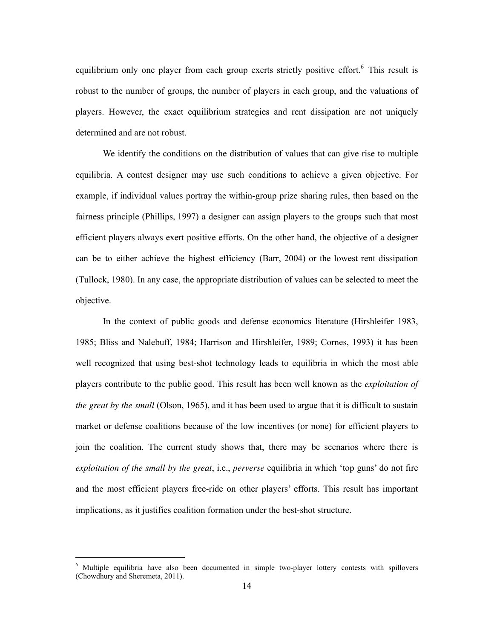equilibrium only one player from each group exerts strictly positive effort.<sup>6</sup> This result is robust to the number of groups, the number of players in each group, and the valuations of players. However, the exact equilibrium strategies and rent dissipation are not uniquely determined and are not robust.

We identify the conditions on the distribution of values that can give rise to multiple equilibria. A contest designer may use such conditions to achieve a given objective. For example, if individual values portray the within-group prize sharing rules, then based on the fairness principle (Phillips, 1997) a designer can assign players to the groups such that most efficient players always exert positive efforts. On the other hand, the objective of a designer can be to either achieve the highest efficiency (Barr, 2004) or the lowest rent dissipation (Tullock, 1980). In any case, the appropriate distribution of values can be selected to meet the objective.

In the context of public goods and defense economics literature (Hirshleifer 1983, 1985; Bliss and Nalebuff, 1984; Harrison and Hirshleifer, 1989; Cornes, 1993) it has been well recognized that using best-shot technology leads to equilibria in which the most able players contribute to the public good. This result has been well known as the *exploitation of the great by the small* (Olson, 1965), and it has been used to argue that it is difficult to sustain market or defense coalitions because of the low incentives (or none) for efficient players to join the coalition. The current study shows that, there may be scenarios where there is *exploitation of the small by the great*, i.e., *perverse* equilibria in which 'top guns' do not fire and the most efficient players free-ride on other players' efforts. This result has important implications, as it justifies coalition formation under the best-shot structure.

-

<sup>6</sup> Multiple equilibria have also been documented in simple two-player lottery contests with spillovers (Chowdhury and Sheremeta, 2011).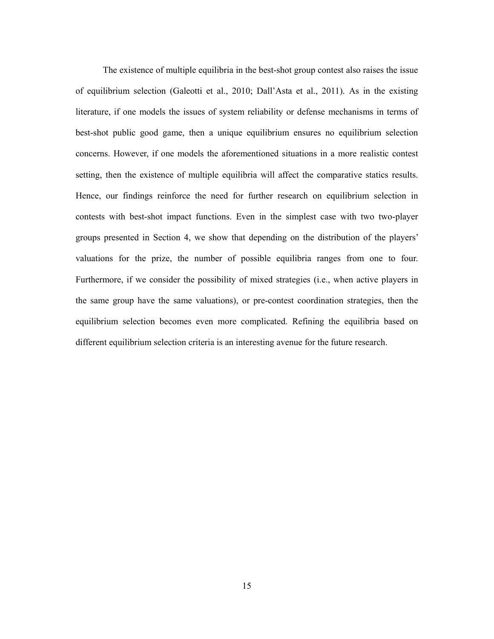The existence of multiple equilibria in the best-shot group contest also raises the issue of equilibrium selection (Galeotti et al., 2010; Dall'Asta et al., 2011). As in the existing literature, if one models the issues of system reliability or defense mechanisms in terms of best-shot public good game, then a unique equilibrium ensures no equilibrium selection concerns. However, if one models the aforementioned situations in a more realistic contest setting, then the existence of multiple equilibria will affect the comparative statics results. Hence, our findings reinforce the need for further research on equilibrium selection in contests with best-shot impact functions. Even in the simplest case with two two-player groups presented in Section 4, we show that depending on the distribution of the players' valuations for the prize, the number of possible equilibria ranges from one to four. Furthermore, if we consider the possibility of mixed strategies (i.e., when active players in the same group have the same valuations), or pre-contest coordination strategies, then the equilibrium selection becomes even more complicated. Refining the equilibria based on different equilibrium selection criteria is an interesting avenue for the future research.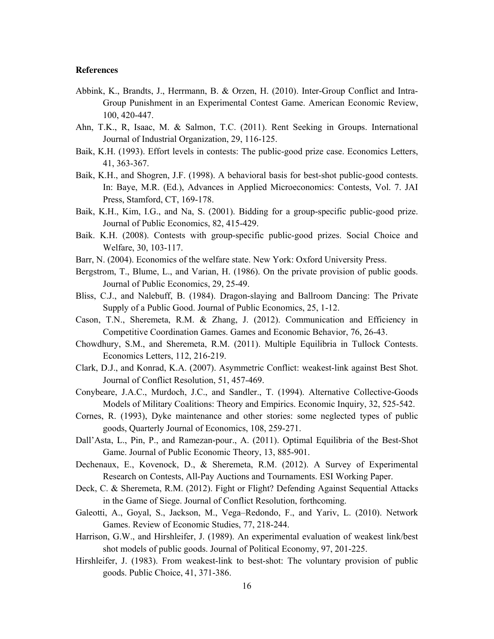## **References**

- Abbink, K., Brandts, J., Herrmann, B. & Orzen, H. (2010). Inter-Group Conflict and Intra-Group Punishment in an Experimental Contest Game. American Economic Review, 100, 420-447.
- Ahn, T.K., R, Isaac, M. & Salmon, T.C. (2011). Rent Seeking in Groups. International Journal of Industrial Organization, 29, 116-125.
- Baik, K.H. (1993). Effort levels in contests: The public-good prize case. Economics Letters, 41, 363-367.
- Baik, K.H., and Shogren, J.F. (1998). A behavioral basis for best-shot public-good contests. In: Baye, M.R. (Ed.), Advances in Applied Microeconomics: Contests, Vol. 7. JAI Press, Stamford, CT, 169-178.
- Baik, K.H., Kim, I.G., and Na, S. (2001). Bidding for a group-specific public-good prize. Journal of Public Economics, 82, 415-429.
- Baik. K.H. (2008). Contests with group-specific public-good prizes. Social Choice and Welfare, 30, 103-117.
- Barr, N. (2004). Economics of the welfare state. New York: Oxford University Press.
- Bergstrom, T., Blume, L., and Varian, H. (1986). On the private provision of public goods. Journal of Public Economics, 29, 25-49.
- Bliss, C.J., and Nalebuff, B. (1984). Dragon-slaying and Ballroom Dancing: The Private Supply of a Public Good. Journal of Public Economics, 25, 1-12.
- Cason, T.N., Sheremeta, R.M. & Zhang, J. (2012). Communication and Efficiency in Competitive Coordination Games. Games and Economic Behavior, 76, 26-43.
- Chowdhury, S.M., and Sheremeta, R.M. (2011). Multiple Equilibria in Tullock Contests. Economics Letters, 112, 216-219.
- Clark, D.J., and Konrad, K.A. (2007). Asymmetric Conflict: weakest-link against Best Shot. Journal of Conflict Resolution, 51, 457-469.
- Conybeare, J.A.C., Murdoch, J.C., and Sandler., T. (1994). Alternative Collective-Goods Models of Military Coalitions: Theory and Empirics. Economic Inquiry, 32, 525-542.
- Cornes, R. (1993), Dyke maintenance and other stories: some neglected types of public goods, Quarterly Journal of Economics, 108, 259-271.
- Dall'Asta, L., Pin, P., and Ramezan-pour., A. (2011). Optimal Equilibria of the Best-Shot Game. Journal of Public Economic Theory, 13, 885-901.
- Dechenaux, E., Kovenock, D., & Sheremeta, R.M. (2012). A Survey of Experimental Research on Contests, All-Pay Auctions and Tournaments. ESI Working Paper.
- Deck, C. & Sheremeta, R.M. (2012). Fight or Flight? Defending Against Sequential Attacks in the Game of Siege. Journal of Conflict Resolution, forthcoming.
- Galeotti, A., Goyal, S., Jackson, M., Vega–Redondo, F., and Yariv, L. (2010). Network Games. Review of Economic Studies, 77, 218-244.
- Harrison, G.W., and Hirshleifer, J. (1989). An experimental evaluation of weakest link/best shot models of public goods. Journal of Political Economy, 97, 201-225.
- Hirshleifer, J. (1983). From weakest-link to best-shot: The voluntary provision of public goods. Public Choice, 41, 371-386.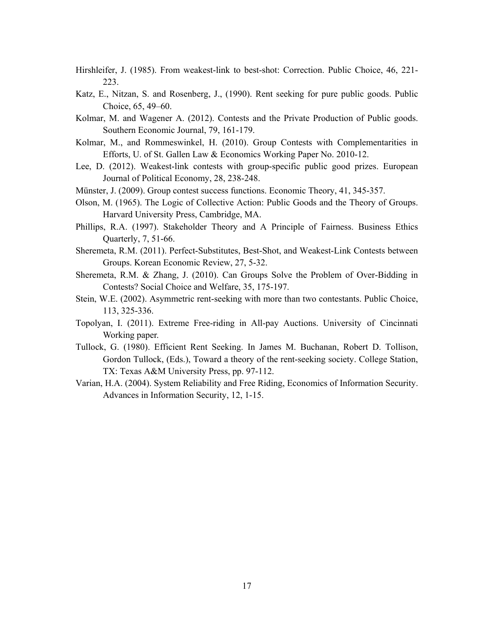Hirshleifer, J. (1985). From weakest-link to best-shot: Correction. Public Choice, 46, 221- 223.

- Katz, E., Nitzan, S. and Rosenberg, J., (1990). Rent seeking for pure public goods. Public Choice, 65, 49–60.
- Kolmar, M. and Wagener A. (2012). Contests and the Private Production of Public goods. Southern Economic Journal, 79, 161-179.
- Kolmar, M., and Rommeswinkel, H. (2010). Group Contests with Complementarities in Efforts, U. of St. Gallen Law & Economics Working Paper No. 2010-12.
- Lee, D. (2012). Weakest-link contests with group-specific public good prizes. European Journal of Political Economy, 28, 238-248.
- Münster, J. (2009). Group contest success functions. Economic Theory, 41, 345-357.
- Olson, M. (1965). The Logic of Collective Action: Public Goods and the Theory of Groups. Harvard University Press, Cambridge, MA.
- Phillips, R.A. (1997). Stakeholder Theory and A Principle of Fairness. Business Ethics Quarterly, 7, 51-66.
- Sheremeta, R.M. (2011). Perfect-Substitutes, Best-Shot, and Weakest-Link Contests between Groups. Korean Economic Review, 27, 5-32.
- Sheremeta, R.M. & Zhang, J. (2010). Can Groups Solve the Problem of Over-Bidding in Contests? Social Choice and Welfare, 35, 175-197.
- Stein, W.E. (2002). Asymmetric rent-seeking with more than two contestants. Public Choice, 113, 325-336.
- Topolyan, I. (2011). Extreme Free-riding in All-pay Auctions. University of Cincinnati Working paper.
- Tullock, G. (1980). Efficient Rent Seeking. In James M. Buchanan, Robert D. Tollison, Gordon Tullock, (Eds.), Toward a theory of the rent-seeking society. College Station, TX: Texas A&M University Press, pp. 97-112.
- Varian, H.A. (2004). System Reliability and Free Riding, Economics of Information Security. Advances in Information Security, 12, 1-15.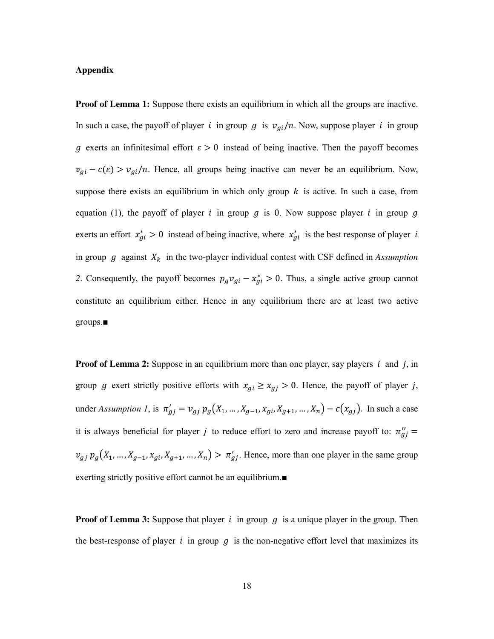## **Appendix**

**Proof of Lemma 1:** Suppose there exists an equilibrium in which all the groups are inactive. In such a case, the payoff of player *i* in group g is  $v_{gi}/n$ . Now, suppose player *i* in group g exerts an infinitesimal effort  $\varepsilon > 0$  instead of being inactive. Then the payoff becomes  $v_{gi} - c(\varepsilon) > v_{gi}/n$ . Hence, all groups being inactive can never be an equilibrium. Now, suppose there exists an equilibrium in which only group  $k$  is active. In such a case, from equation (1), the payoff of player  $i$  in group  $g$  is 0. Now suppose player  $i$  in group  $g$ exerts an effort  $x_{gi}^* > 0$  instead of being inactive, where  $x_{gi}^*$  is the best response of player *i* in group  $g$  against  $X_k$  in the two-player individual contest with CSF defined in *Assumption* 2. Consequently, the payoff becomes  $p_g v_{gi} - x_{gi}^* > 0$ . Thus, a single active group cannot constitute an equilibrium either. Hence in any equilibrium there are at least two active groups.■

**Proof of Lemma 2:** Suppose in an equilibrium more than one player, say players  $i$  and  $j$ , in group g exert strictly positive efforts with  $x_{gi} \ge x_{gj} > 0$ . Hence, the payoff of player j, under *Assumption 1*, is  $\pi'_{gj} = v_{gj} p_g(X_1, ..., X_{g-1}, X_{gi}, X_{g+1}, ..., X_n) - c(x_{gj})$ . In such a case it is always beneficial for player *j* to reduce effort to zero and increase payoff to:  $\pi_{gj}'' =$  $v_{gj} p_g(X_1, ..., X_{g-1}, X_{gi}, X_{g+1}, ..., X_n) > \pi'_{gj}$ . Hence, more than one player in the same group exerting strictly positive effort cannot be an equilibrium.■

**Proof of Lemma 3:** Suppose that player  $i$  in group  $g$  is a unique player in the group. Then the best-response of player  $i$  in group  $g$  is the non-negative effort level that maximizes its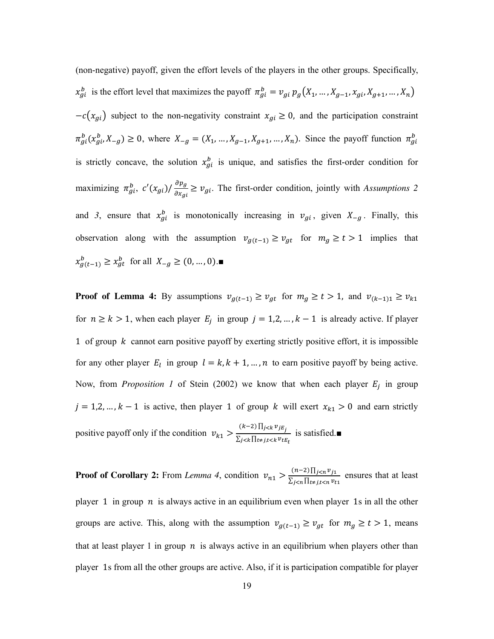(non-negative) payoff, given the effort levels of the players in the other groups. Specifically,  $x_{gi}^b$  is the effort level that maximizes the payoff  $\pi_{gi}^b = v_{gi} p_g(X_1, ..., X_{g-1}, X_{gi}, X_{g+1}, ..., X_n)$  $-c(x_{gi})$  subject to the non-negativity constraint  $x_{gi} \ge 0$ , and the participation constraint  $\pi_{gi}^b(x_{gi}^b, X_{-g}) \ge 0$ , where  $X_{-g} = (X_1, \dots, X_{g-1}, X_{g+1}, \dots, X_n)$ . Since the payoff function  $\pi_{gi}^b$ is strictly concave, the solution  $x_{gi}^b$  is unique, and satisfies the first-order condition for maximizing  $\pi_{gi}^b$ ,  $c'(x_{gi})/\frac{\partial p_g}{\partial x_{gi}} \ge v_{gi}$ . The first-order condition, jointly with *Assumptions* 2 and 3, ensure that  $x_{gi}^b$  is monotonically increasing in  $v_{gi}$ , given  $X_{-g}$ . Finally, this observation along with the assumption  $v_{g(t-1)} \ge v_{gt}$  for  $m_g \ge t > 1$  implies that  $x_{g(t-1)}^b \ge x_{gt}^b$  for all  $X_{-g} \ge (0, ..., 0)$ .

**Proof of Lemma 4:** By assumptions  $v_{g(t-1)} \ge v_{gt}$  for  $m_g \ge t > 1$ , and  $v_{(k-1)1} \ge v_{k1}$ for  $n \ge k > 1$ , when each player  $E_j$  in group  $j = 1,2,..., k - 1$  is already active. If player 1 of group  $k$  cannot earn positive payoff by exerting strictly positive effort, it is impossible for any other player  $E_l$  in group  $l = k, k + 1, ..., n$  to earn positive payoff by being active. Now, from *Proposition 1* of Stein (2002) we know that when each player  $E_j$  in group  $j = 1,2,..., k - 1$  is active, then player 1 of group k will exert  $x_{k1} > 0$  and earn strictly positive payoff only if the condition  $v_{k1} > \frac{(k-2) \prod_{j \le k} v_{jE_j}}{\sum_{i \le k} \prod_{\tau : i \ne k} v_{\tau k}}$  $\sum_{j \leq k} \frac{\sum_{j \leq j} \sum_{j \leq j}}{\prod_{t \neq j, t \leq k} v_{tE_t}}$  is satisfied.

**Proof of Corollary 2:** From *Lemma 4*, condition  $v_{n1} > \frac{(n-2)\prod_{j$  $\frac{(n-2)\prod_{j\leq n}v_{j1}}{\sum_{j\leq n}\prod_{t\neq j,t\leq n}v_{t1}}$  ensures that at least

player 1 in group  $n$  is always active in an equilibrium even when player 1s in all the other groups are active. This, along with the assumption  $v_{g(t-1)} \ge v_{gt}$  for  $m_g \ge t > 1$ , means that at least player 1 in group  $n$  is always active in an equilibrium when players other than player 1s from all the other groups are active. Also, if it is participation compatible for player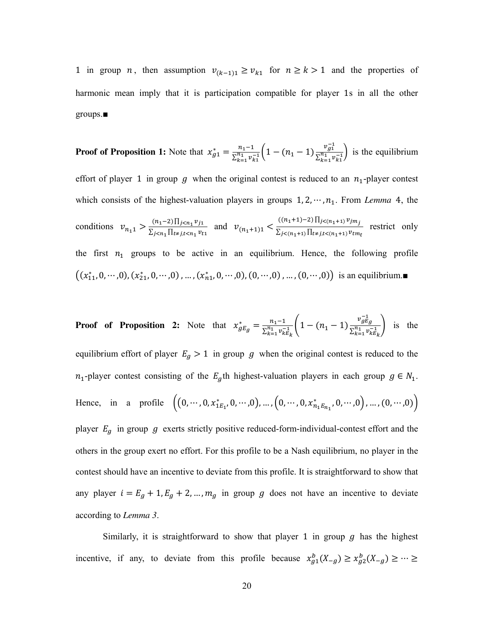1 in group *n*, then assumption  $v_{(k-1)1} \ge v_{k1}$  for  $n \ge k > 1$  and the properties of harmonic mean imply that it is participation compatible for player 1s in all the other groups.■

**Proof of Proposition 1:** Note that  $x_{g1}^* = \frac{n_1-1}{\sum_{i=1}^{n_1} y_i}$  $\frac{n_1-1}{\sum_{k=1}^{n_1} v_{k1}^{-1}} \Big(1-(n_1-1)\frac{v_{g1}^{-1}}{\sum_{k=1}^{n_1} v_{k1}^{-1}}\Big)$  $\left(\frac{y_1}{\sum_{k=1}^{n_1} v_{k1}^{-1}}\right)$  is the equilibrium effort of player 1 in group  $g$  when the original contest is reduced to an  $n_1$ -player contest which consists of the highest-valuation players in groups  $1, 2, \cdots, n_1$ . From *Lemma* 4, the conditions  $v_{n_1} > \frac{(n_1-2) \prod_{j \le n_1} v_{j_1}}{\sum_{i \le n_1} \prod_{i \neq j} \sum_{i \le n_i} v_i}$  $\frac{(n_1-2)\prod_{j\leq n_1}v_{j1}}{\sum_{j\leq n_1}\prod_{t\neq j,t\leq n_1}v_{t1}}$  and  $v_{(n_1+1)1} \leq \frac{((n_1+1)-2)\prod_{j\leq (n_1+1)}v_{jm_j}}{\sum_{j\leq (n_1+1)}\prod_{t\neq j,t\leq (n_1+1)}v_{tm}}$  $\sum_{j \leq (n_1+1)} \prod_{t \neq j, t \leq (n_1+1)} v_{tm}$  restrict only the first  $n_1$  groups to be active in an equilibrium. Hence, the following profile  $((x_{11}^*,0,\dots,0),(x_{21}^*,0,\dots,0),\dots,(x_{n1}^*,0,\dots,0),(0,\dots,0),\dots,(0,\dots,0))$  is an equilibrium.

**Proof of Proposition 2:** Note that  $x_{gE_g}^* = \frac{n_1-1}{\sum_{k=1}^{n_1} v_k}$  $\frac{n_1-1}{\sum_{k=1}^{n_1} v_{k}^{-1}} \bigg(1-(n_1-1)\frac{v_{g}^{-1}_{B}}{\sum_{k=1}^{n_1} v_{k}^{-1}}$  $\frac{g g g}{\sum_{k=1}^{n_1} v_{kE_k}^{-1}}$  is the equilibrium effort of player  $E_g > 1$  in group g when the original contest is reduced to the  $n_1$ -player contest consisting of the  $E_g$ th highest-valuation players in each group  $g \in N_1$ . Hence, in a profile  $((0, \dots, 0, x_{1E_1}^*, 0, \dots, 0), ..., (0, \dots, 0, x_{n_1E_{n_1}}^*, 0, \dots, 0), ..., (0, \dots, 0))$ player  $E_g$  in group  $g$  exerts strictly positive reduced-form-individual-contest effort and the others in the group exert no effort. For this profile to be a Nash equilibrium, no player in the contest should have an incentive to deviate from this profile. It is straightforward to show that any player  $i = E_g + 1, E_g + 2, ..., m_g$  in group g does not have an incentive to deviate according to *Lemma 3*.

Similarly, it is straightforward to show that player 1 in group  $q$  has the highest incentive, if any, to deviate from this profile because  $x_{g1}^b(X_{-g}) \ge x_{g2}^b(X_{-g}) \ge \cdots \ge$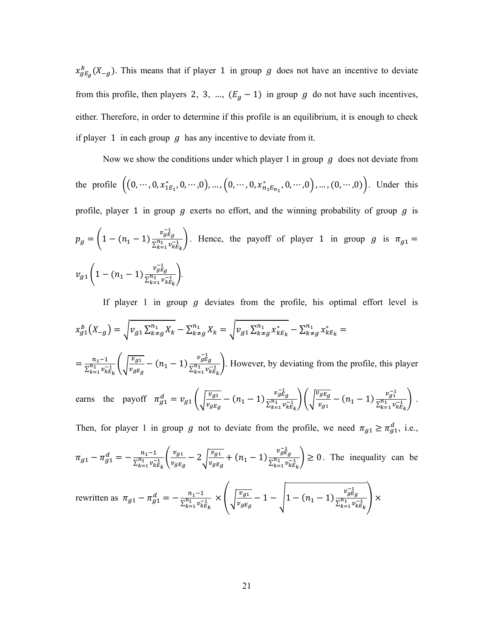$x_{gE_g}^b$ (X<sub>-g</sub>). This means that if player 1 in group g does not have an incentive to deviate from this profile, then players 2, 3, ...,  $(E_g - 1)$  in group g do not have such incentives, either. Therefore, in order to determine if this profile is an equilibrium, it is enough to check if player 1 in each group  $g$  has any incentive to deviate from it.

Now we show the conditions under which player 1 in group *g* does not deviate from  
the profile 
$$
((0, \dots, 0, x_{1E_1}^*, 0, \dots, 0), \dots, (0, \dots, 0, x_{n_1E_{n_1}}^*, 0, \dots, 0), \dots, (0, \dots, 0))
$$
. Under this  
profile, player 1 in group *g* exerts no effort, and the winning probability of group *g* is  

$$
p_g = \left(1 - (n_1 - 1) \frac{v_{gE_g}^{-1}}{\sum_{k=1}^{n_1} v_{kE_k}^{-1}}\right).
$$
 Hence, the payoff of player 1 in group *g* is  $\pi_{g1} =$   

$$
v_{g1} \left(1 - (n_1 - 1) \frac{v_{gE_g}^{-1}}{\sum_{k=1}^{n_1} v_{kE_k}^{-1}}\right).
$$

If player 1 in group  $g$  deviates from the profile, his optimal effort level is  $\chi^b_{g1}(X_{-g}) = \sqrt{\nu_{g1}\sum_{k=g}^{n_1}X_k - \sum_{k=g}^{n_1}X_k} = \sqrt{\nu_{g1}\sum_{k=g}^{n_1}x_{kE_k}^* - \sum_{k=g}^{n_1}x_{kE_k}^*} =$  $=\frac{n_1-1}{\sum_{i=1}^{n_1} n_i}$  $\frac{n_1-1}{\sum_{k=1}^{n_1} v_{kE_k}^{-1}} \Bigg( \sqrt{\frac{v_{g1}}{v_{gE_g}}}$  $\frac{\overline{v_{g1}}}{\overline{v_{gE_g}}}$  -  $(n_1 - 1) \frac{v_{gE_g}^{-1}}{\Sigma_{k=1}^{n_1} v_k^{-1}}$  $\left(\frac{y \log y}{x_{k=1}^{n_1} v_{kE_k}^{-1}}\right)$ . However, by deviating from the profile, this player earns the payoff  $\pi_{g_1}^d = v_{g_1} \left( \sqrt{\frac{v_{g_1}}{v_{g_E}}} \right)$  $\frac{\overline{v_{g1}}}{\overline{v_{gE_g}}} - (n_1 - 1) \frac{v_{gE_g}^{-1}}{\Sigma_{k=1}^{n_1} v_k^{-1}}$  $\frac{v_g \tilde{E}_g}{\sum_{k=1}^{n_1} v_{k}^{-1} E_k}$   $\Biggl\{ \sqrt{\frac{v_g E_g}{v_{g1}}} \Biggr\}$  $\frac{v_{gE_g}}{v_{g1}}$  -  $(n_1 - 1) \frac{v_{g1}^{-1}}{\sum_{k=1}^{n_1} v_k^{-1}}$  $\frac{v_{g1}}{\sum_{k=1}^{n_1} v_{kE_k}^{-1}}$ . Then, for player 1 in group g not to deviate from the profile, we need  $\pi_{g1} \ge \pi_{g1}^d$ , i.e.,

$$
\pi_{g1} - \pi_{g1}^d = -\frac{n_1 - 1}{\sum_{k=1}^{n_1} v_{kE_k}^{-1}} \left( \frac{v_{g1}}{v_{gE_g}} - 2 \sqrt{\frac{v_{g1}}{v_{gE_g}}} + (n_1 - 1) \frac{v_{g1g}^{-1}}{\sum_{k=1}^{n_1} v_{kE_k}^{-1}} \right) \ge 0.
$$
 The inequality can be

$$
\text{rewritten as } \pi_{g1} - \pi_{g1}^d = -\frac{n_1 - 1}{\sum_{k=1}^{n_1} v_{kE_k}^{-1}} \times \left( \sqrt{\frac{v_{g1}}{v_{gE_g}}} - 1 - \sqrt{1 - (n_1 - 1) \frac{v_{gE_g}^{-1}}{\sum_{k=1}^{n_1} v_{kE_k}^{-1}}} \right) \times
$$